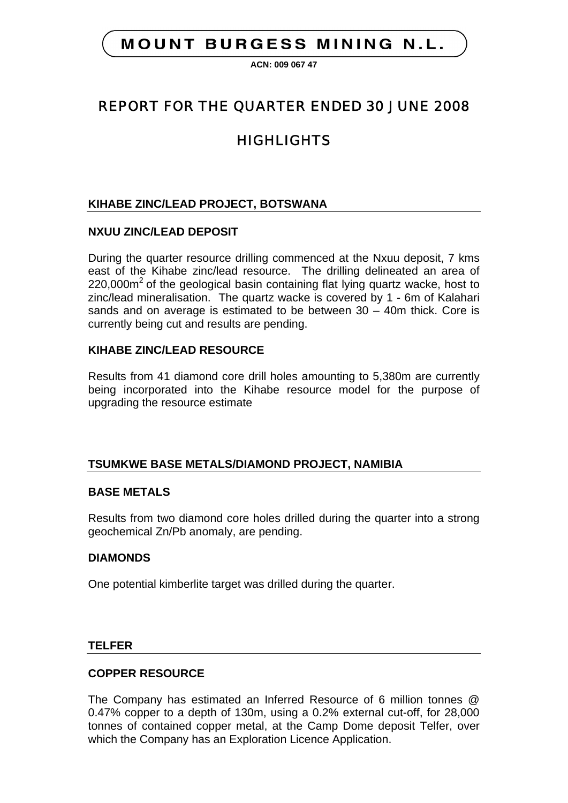## **MOUNT BURGESS MINING N.L.**

**ACN: 009 067 47**

# REPORT FOR THE QUARTER ENDED 30 JUNE 2008

# **HIGHLIGHTS**

### **KIHABE ZINC/LEAD PROJECT, BOTSWANA**

#### **NXUU ZINC/LEAD DEPOSIT**

During the quarter resource drilling commenced at the Nxuu deposit, 7 kms east of the Kihabe zinc/lead resource. The drilling delineated an area of  $220,000$ m<sup>2</sup> of the geological basin containing flat lying quartz wacke, host to zinc/lead mineralisation. The quartz wacke is covered by 1 - 6m of Kalahari sands and on average is estimated to be between 30 – 40m thick. Core is currently being cut and results are pending.

#### **KIHABE ZINC/LEAD RESOURCE**

Results from 41 diamond core drill holes amounting to 5,380m are currently being incorporated into the Kihabe resource model for the purpose of upgrading the resource estimate

#### **TSUMKWE BASE METALS/DIAMOND PROJECT, NAMIBIA**

#### **BASE METALS**

Results from two diamond core holes drilled during the quarter into a strong geochemical Zn/Pb anomaly, are pending.

#### **DIAMONDS**

One potential kimberlite target was drilled during the quarter.

#### **TELFER**

#### **COPPER RESOURCE**

The Company has estimated an Inferred Resource of 6 million tonnes @ 0.47% copper to a depth of 130m, using a 0.2% external cut-off, for 28,000 tonnes of contained copper metal, at the Camp Dome deposit Telfer, over which the Company has an Exploration Licence Application.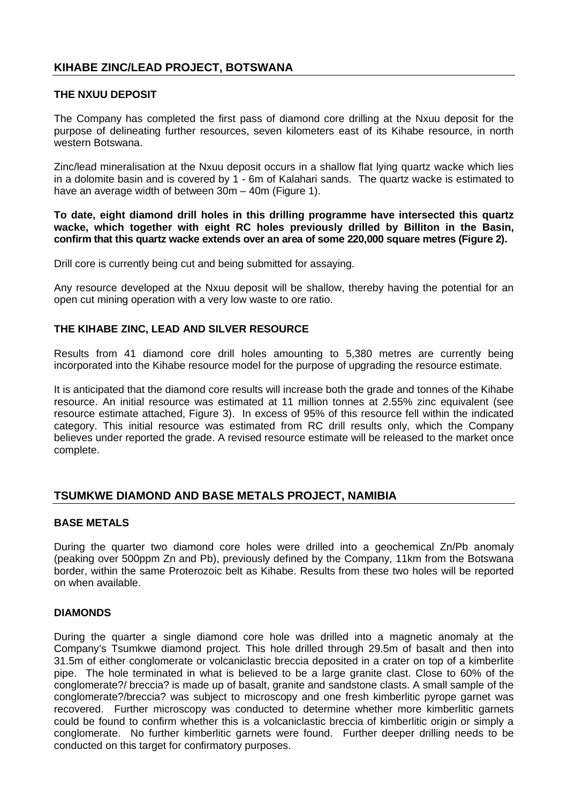#### **KIHABE ZINC/LEAD PROJECT, BOTSWANA**

#### **THE NXUU DEPOSIT**

The Company has completed the first pass of diamond core drilling at the Nxuu deposit for the purpose of delineating further resources, seven kilometers east of its Kihabe resource, in north western Botswana.

Zinc/lead mineralisation at the Nxuu deposit occurs in a shallow flat lying quartz wacke which lies in a dolomite basin and is covered by 1 - 6m of Kalahari sands. The quartz wacke is estimated to have an average width of between 30m – 40m (Figure 1).

**To date, eight diamond drill holes in this drilling programme have intersected this quartz wacke, which together with eight RC holes previously drilled by Billiton in the Basin, confirm that this quartz wacke extends over an area of some 220,000 square metres (Figure 2).**

Drill core is currently being cut and being submitted for assaying.

Any resource developed at the Nxuu deposit will be shallow, thereby having the potential for an open cut mining operation with a very low waste to ore ratio.

#### **THE KIHABE ZINC, LEAD AND SILVER RESOURCE**

Results from 41 diamond core drill holes amounting to 5,380 metres are currently being incorporated into the Kihabe resource model for the purpose of upgrading the resource estimate.

It is anticipated that the diamond core results will increase both the grade and tonnes of the Kihabe resource. An initial resource was estimated at 11 million tonnes at 2.55% zinc equivalent (see resource estimate attached, Figure 3). In excess of 95% of this resource fell within the indicated category. This initial resource was estimated from RC drill results only, which the Company believes under reported the grade. A revised resource estimate will be released to the market once complete.

#### **TSUMKWE DIAMOND AND BASE METALS PROJECT, NAMIBIA**

#### **BASE METALS**

During the quarter two diamond core holes were drilled into a geochemical Zn/Pb anomaly (peaking over 500ppm Zn and Pb), previously defined by the Company, 11km from the Botswana border, within the same Proterozoic belt as Kihabe. Results from these two holes will be reported on when available.

#### **DIAMONDS**

During the quarter a single diamond core hole was drilled into a magnetic anomaly at the Company's Tsumkwe diamond project. This hole drilled through 29.5m of basalt and then into 31.5m of either conglomerate or volcaniclastic breccia deposited in a crater on top of a kimberlite pipe. The hole terminated in what is believed to be a large granite clast. Close to 60% of the conglomerate?/ breccia? is made up of basalt, granite and sandstone clasts. A small sample of the conglomerate?/breccia? was subject to microscopy and one fresh kimberlitic pyrope garnet was recovered. Further microscopy was conducted to determine whether more kimberlitic garnets could be found to confirm whether this is a volcaniclastic breccia of kimberlitic origin or simply a conglomerate. No further kimberlitic garnets were found. Further deeper drilling needs to be conducted on this target for confirmatory purposes.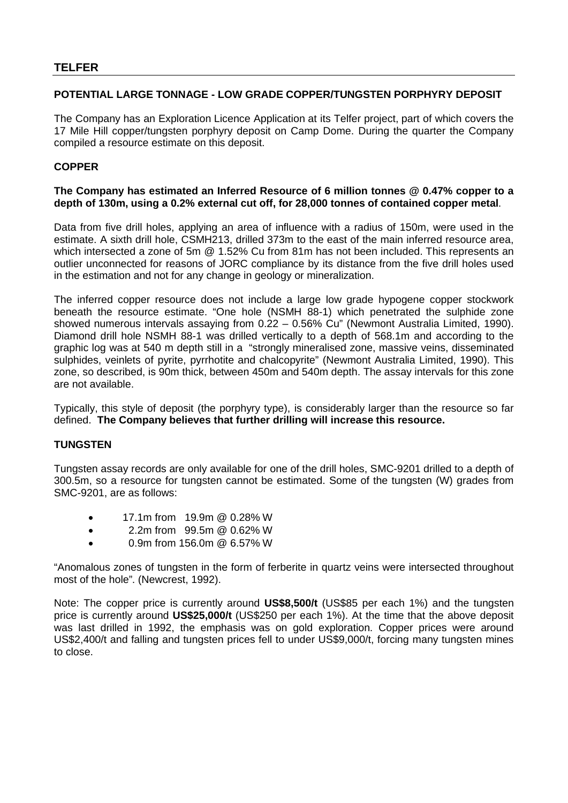#### **POTENTIAL LARGE TONNAGE - LOW GRADE COPPER/TUNGSTEN PORPHYRY DEPOSIT**

The Company has an Exploration Licence Application at its Telfer project, part of which covers the 17 Mile Hill copper/tungsten porphyry deposit on Camp Dome. During the quarter the Company compiled a resource estimate on this deposit.

#### **COPPER**

#### **The Company has estimated an Inferred Resource of 6 million tonnes @ 0.47% copper to a depth of 130m, using a 0.2% external cut off, for 28,000 tonnes of contained copper metal**.

Data from five drill holes, applying an area of influence with a radius of 150m, were used in the estimate. A sixth drill hole, CSMH213, drilled 373m to the east of the main inferred resource area, which intersected a zone of 5m @ 1.52% Cu from 81m has not been included. This represents an outlier unconnected for reasons of JORC compliance by its distance from the five drill holes used in the estimation and not for any change in geology or mineralization.

The inferred copper resource does not include a large low grade hypogene copper stockwork beneath the resource estimate. "One hole (NSMH 88-1) which penetrated the sulphide zone showed numerous intervals assaying from 0.22 – 0.56% Cu" (Newmont Australia Limited, 1990). Diamond drill hole NSMH 88-1 was drilled vertically to a depth of 568.1m and according to the graphic log was at 540 m depth still in a "strongly mineralised zone, massive veins, disseminated sulphides, veinlets of pyrite, pyrrhotite and chalcopyrite" (Newmont Australia Limited, 1990). This zone, so described, is 90m thick, between 450m and 540m depth. The assay intervals for this zone are not available.

Typically, this style of deposit (the porphyry type), is considerably larger than the resource so far defined. **The Company believes that further drilling will increase this resource.**

#### **TUNGSTEN**

Tungsten assay records are only available for one of the drill holes, SMC-9201 drilled to a depth of 300.5m, so a resource for tungsten cannot be estimated. Some of the tungsten (W) grades from SMC-9201, are as follows:

- 17.1m from 19.9m @ 0.28% W
- 2.2m from 99.5m @ 0.62% W
- 0.9m from 156.0m @ 6.57% W

"Anomalous zones of tungsten in the form of ferberite in quartz veins were intersected throughout most of the hole". (Newcrest, 1992).

Note: The copper price is currently around **US\$8,500/t** (US\$85 per each 1%) and the tungsten price is currently around **US\$25,000/t** (US\$250 per each 1%). At the time that the above deposit was last drilled in 1992, the emphasis was on gold exploration. Copper prices were around US\$2,400/t and falling and tungsten prices fell to under US\$9,000/t, forcing many tungsten mines to close.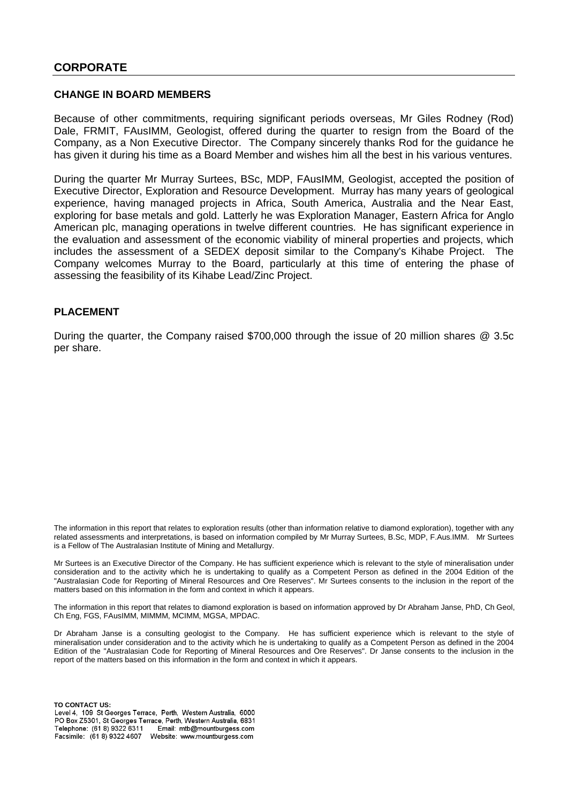#### **CORPORATE**

#### **CHANGE IN BOARD MEMBERS**

Because of other commitments, requiring significant periods overseas, Mr Giles Rodney (Rod) Dale, FRMIT, FAusIMM, Geologist, offered during the quarter to resign from the Board of the Company, as a Non Executive Director. The Company sincerely thanks Rod for the guidance he has given it during his time as a Board Member and wishes him all the best in his various ventures.

During the quarter Mr Murray Surtees, BSc, MDP, FAusIMM, Geologist, accepted the position of Executive Director, Exploration and Resource Development. Murray has many years of geological experience, having managed projects in Africa, South America, Australia and the Near East, exploring for base metals and gold. Latterly he was Exploration Manager, Eastern Africa for Anglo American plc, managing operations in twelve different countries. He has significant experience in the evaluation and assessment of the economic viability of mineral properties and projects, which includes the assessment of a SEDEX deposit similar to the Company's Kihabe Project. The Company welcomes Murray to the Board, particularly at this time of entering the phase of assessing the feasibility of its Kihabe Lead/Zinc Project.

#### **PLACEMENT**

During the quarter, the Company raised \$700,000 through the issue of 20 million shares @ 3.5c per share.

The information in this report that relates to exploration results (other than information relative to diamond exploration), together with any related assessments and interpretations, is based on information compiled by Mr Murray Surtees, B.Sc, MDP, F.Aus.IMM. Mr Surtees is a Fellow of The Australasian Institute of Mining and Metallurgy.

Mr Surtees is an Executive Director of the Company. He has sufficient experience which is relevant to the style of mineralisation under consideration and to the activity which he is undertaking to qualify as a Competent Person as defined in the 2004 Edition of the "Australasian Code for Reporting of Mineral Resources and Ore Reserves". Mr Surtees consents to the inclusion in the report of the matters based on this information in the form and context in which it appears.

The information in this report that relates to diamond exploration is based on information approved by Dr Abraham Janse, PhD, Ch Geol, Ch Eng, FGS, FAusIMM, MIMMM, MCIMM, MGSA, MPDAC.

Dr Abraham Janse is a consulting geologist to the Company. He has sufficient experience which is relevant to the style of mineralisation under consideration and to the activity which he is undertaking to qualify as a Competent Person as defined in the 2004 Edition of the "Australasian Code for Reporting of Mineral Resources and Ore Reserves". Dr Janse consents to the inclusion in the report of the matters based on this information in the form and context in which it appears.

**TO CONTACT US:**PO Box Z5301, St Georges Terrace, Perth, Western Australia, 6831 Telephone: (61 8) 9322 6311 Email: mtb@mountburgess.com Facsimile: (61 8) 9322 4607 Website: www.mountburgess.com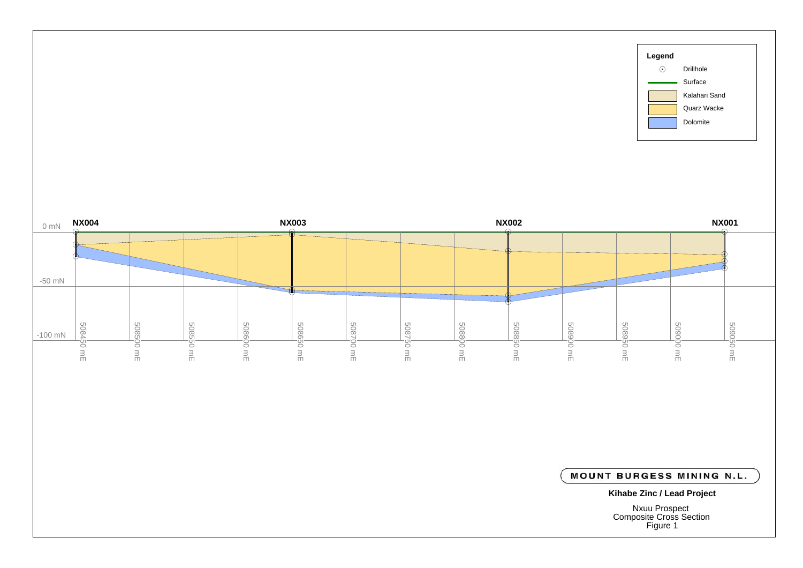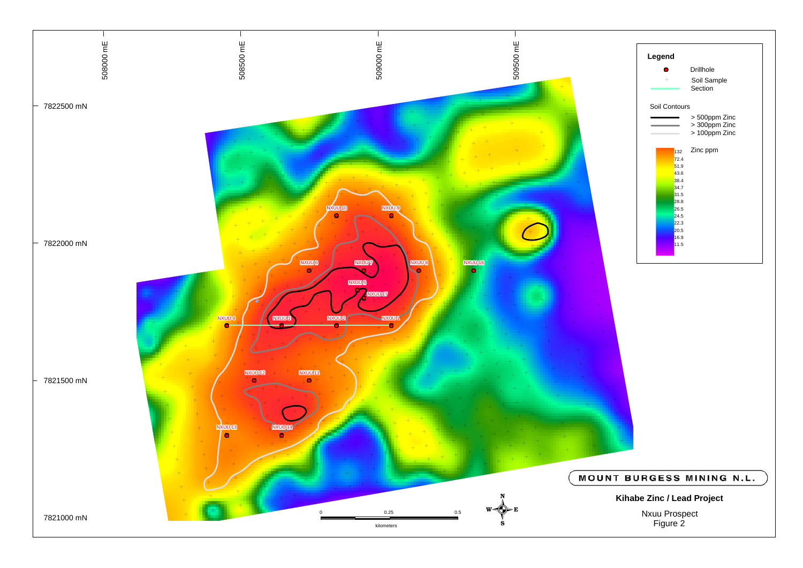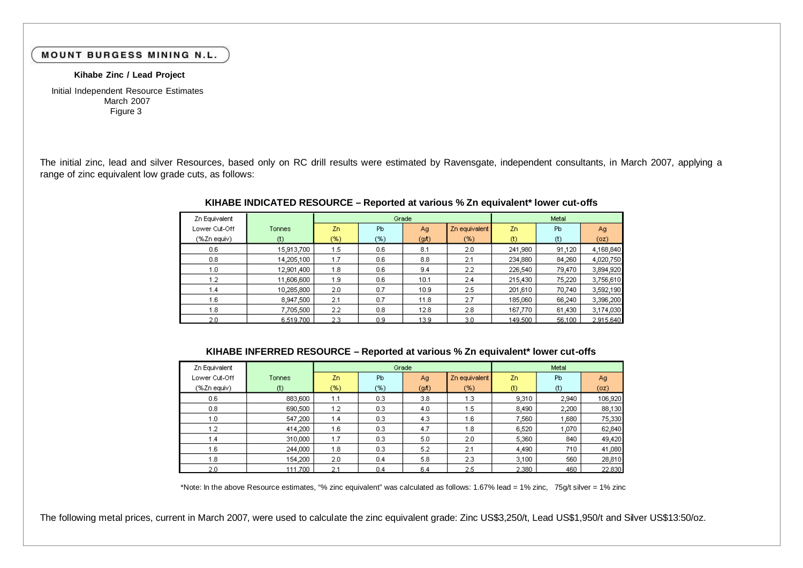#### **MOUNT BURGESS MINING N.L.**

#### **Kihabe Zinc / Lead Project**

March 2007 Initial Independent Resource Estimates Figure 3

The initial zinc, lead and silver Resources, based only on RC drill results were estimated by Ravensgate, independent consultants, in March 2007, applying a range of zinc equivalent low grade cuts, as follows:

| Zn Equivalent |            | Grade  |     |                   |               |                   | Metal  |           |
|---------------|------------|--------|-----|-------------------|---------------|-------------------|--------|-----------|
| Lower Cut-Off | Tonnes     | Zn.    | Pb  | Ag                | Zn equivalent | Zn                | Pb     | Ag        |
| (%Zn equiv)   | $(t)$      | $(\%)$ | (%) | (9 <sub>1</sub> ) | (%)           | $\left( t\right)$ | (t)    | (oz)      |
| 0.6           | 15,913,700 | 1.5    | 0.6 | 8.1               | 2.0           | 241,980           | 91,120 | 4,168,840 |
| 0.8           | 14,205,100 | 1.7    | 0.6 | 8.8               | 2.1           | 234,880           | 84,260 | 4,020,750 |
| 1.0           | 12,901,400 | 1.8    | 0.6 | 9.4               | 2.2           | 226,540           | 79,470 | 3,894,920 |
| 1.2           | 11,606,600 | 1.9    | 0.6 | 10.1              | 2.4           | 215,430           | 75,220 | 3,756,610 |
| 1.4           | 10,285,800 | 2.0    | 0.7 | 10.9              | 2.5           | 201,610           | 70,740 | 3,592,190 |
| 1.6           | 8,947,500  | 2.1    | 0.7 | 11.8              | 2.7           | 185,060           | 66,240 | 3,396,200 |
| 1.8           | 7,705,500  | 2.2    | 0.8 | 12.8              | 2.8           | 167,770           | 61,430 | 3,174,030 |
| 2.0           | 6,519,700  | 2.3    | 0.9 | 13.9              | 3.0           | 149,500           | 56,100 | 2,915,640 |

#### **KIHABE INDICATED RESOURCE – Reported at various % Zn equivalent\* lower cut-offs**

#### **KIHABE INFERRED RESOURCE – Reported at various % Zn equivalent\* lower cut-offs**

| Zn Equivalent |         | Grade |     |       |               |                          | Metal          |         |
|---------------|---------|-------|-----|-------|---------------|--------------------------|----------------|---------|
| Lower Cut-Off | Tonnes  | Zn    | Pb  | Ag    | Zn equivalent | Zn.                      | P <sub>b</sub> | Ag      |
| (%Zn equiv)   | $(t)$   | (%)   | (%) | (git) | (%)           | $_{\textrm{\tiny{(t)}}}$ | $(t)$          | (oz)    |
| 0.6           | 883,600 | 1.1   | 0.3 | 3.8   | 1.3           | 9,310                    | 2,940          | 106,920 |
| 0.8           | 690,500 | 1.2   | 0.3 | 4.0   | 1.5           | 8,490                    | 2,200          | 88,130  |
| 1.0           | 547,200 | 1.4   | 0.3 | 4.3   | 1.6           | 7,560                    | 1,680          | 75,330  |
| 1.2           | 414,200 | 1.6   | 0.3 | 4.7   | 1.8           | 6,520                    | 1,070          | 62,840  |
| 1.4           | 310,000 | 1.7   | 0.3 | 5.0   | 2.0           | 5,360                    | 840            | 49,420  |
| 1.6           | 244,000 | 1.8   | 0.3 | 5.2   | 2.1           | 4,490                    | 710            | 41,080  |
| 1.8           | 154,200 | 2.0   | 0.4 | 5.8   | 2.3           | 3,100                    | 560            | 28,810  |
| 2.0           | 111,700 | 2.1   | 0.4 | 6.4   | 2.5           | 2,380                    | 460            | 22,830  |

\*Note: In the above Resource estimates, "% zinc equivalent" was calculated as follows: 1.67% lead = 1% zinc, 75g/t silver = 1% zinc

The following metal prices, current in March 2007, were used to calculate the zinc equivalent grade: Zinc US\$3,250/t, Lead US\$1,950/t and Silver US\$13:50/oz.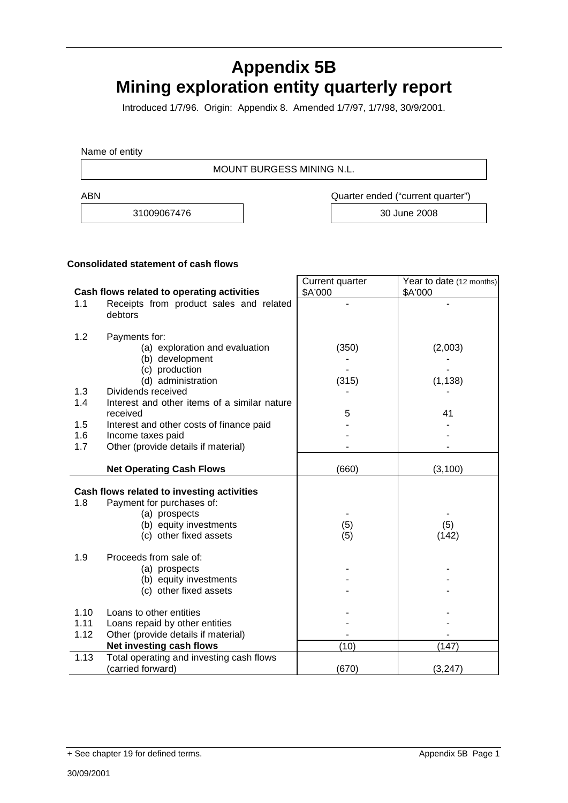# **Appendix 5B Mining exploration entity quarterly report**

Introduced 1/7/96. Origin: Appendix 8. Amended 1/7/97, 1/7/98, 30/9/2001.

Name of entity

MOUNT BURGESS MINING N.L.

ABN Quarter ended ("current quarter")

31009067476 30 June 2008

#### **Consolidated statement of cash flows**

|      |                                                          | Current quarter | Year to date (12 months) |
|------|----------------------------------------------------------|-----------------|--------------------------|
|      | Cash flows related to operating activities               | \$A'000         | \$A'000                  |
| 1.1  | Receipts from product sales and related<br>debtors       |                 |                          |
| 1.2  | Payments for:                                            |                 |                          |
|      | (a) exploration and evaluation                           | (350)           | (2,003)                  |
|      | (b) development                                          |                 |                          |
|      | (c) production                                           |                 |                          |
|      | (d) administration                                       | (315)           | (1, 138)                 |
| 1.3  | Dividends received                                       |                 |                          |
| 1.4  | Interest and other items of a similar nature<br>received | 5               | 41                       |
| 1.5  | Interest and other costs of finance paid                 |                 |                          |
| 1.6  | Income taxes paid                                        |                 |                          |
| 1.7  | Other (provide details if material)                      |                 |                          |
|      |                                                          |                 |                          |
|      | <b>Net Operating Cash Flows</b>                          | (660)           | (3, 100)                 |
|      | Cash flows related to investing activities               |                 |                          |
| 1.8  | Payment for purchases of:                                |                 |                          |
|      | (a) prospects                                            |                 |                          |
|      | (b) equity investments                                   | (5)             | (5)                      |
|      | (c) other fixed assets                                   | (5)             | (142)                    |
|      |                                                          |                 |                          |
| 1.9  | Proceeds from sale of:                                   |                 |                          |
|      | (a) prospects                                            |                 |                          |
|      | (b) equity investments                                   |                 |                          |
|      | (c) other fixed assets                                   |                 |                          |
| 1.10 | Loans to other entities                                  |                 |                          |
| 1.11 | Loans repaid by other entities                           |                 |                          |
| 1.12 | Other (provide details if material)                      |                 |                          |
|      | Net investing cash flows                                 | (10)            | (147)                    |
| 1.13 | Total operating and investing cash flows                 |                 |                          |
|      | (carried forward)                                        | (670)           | (3, 247)                 |

<sup>+</sup> See chapter 19 for defined terms. Appendix 5B Page 1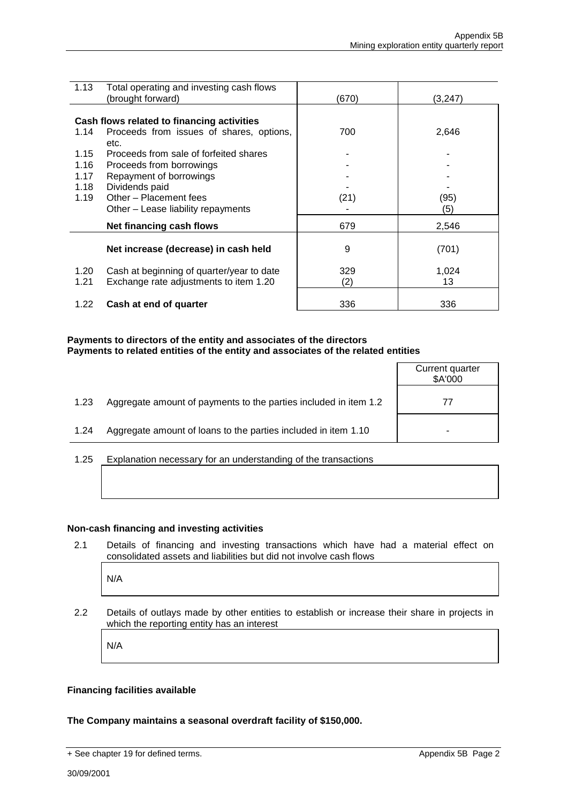| 1.13 | Total operating and investing cash flows   |       |         |
|------|--------------------------------------------|-------|---------|
|      | (brought forward)                          | (670) | (3,247) |
|      |                                            |       |         |
|      | Cash flows related to financing activities |       |         |
| 1.14 | Proceeds from issues of shares, options,   | 700   | 2,646   |
|      | etc.                                       |       |         |
| 1.15 | Proceeds from sale of forfeited shares     |       |         |
| 1.16 | Proceeds from borrowings                   |       |         |
| 1.17 | Repayment of borrowings                    |       |         |
| 1.18 | Dividends paid                             |       |         |
| 1.19 | Other - Placement fees                     | (21)  | (95)    |
|      | Other - Lease liability repayments         |       | (5)     |
|      | Net financing cash flows                   | 679   | 2,546   |
|      |                                            |       |         |
|      | Net increase (decrease) in cash held       | 9     | (701)   |
| 1.20 | Cash at beginning of quarter/year to date  | 329   | 1,024   |
| 1.21 | Exchange rate adjustments to item 1.20     | (2)   | 13      |
|      |                                            |       |         |
| 1.22 | Cash at end of quarter                     | 336   | 336     |

#### **Payments to directors of the entity and associates of the directors Payments to related entities of the entity and associates of the related entities**

|      |                                                                  | Current quarter<br>\$A'000 |
|------|------------------------------------------------------------------|----------------------------|
| 1.23 | Aggregate amount of payments to the parties included in item 1.2 |                            |
| 1.24 | Aggregate amount of loans to the parties included in item 1.10   |                            |
|      |                                                                  |                            |

1.25 Explanation necessary for an understanding of the transactions

#### **Non-cash financing and investing activities**

2.1 Details of financing and investing transactions which have had a material effect on consolidated assets and liabilities but did not involve cash flows

N/A

2.2 Details of outlays made by other entities to establish or increase their share in projects in which the reporting entity has an interest

N/A

#### **Financing facilities available**

#### **The Company maintains a seasonal overdraft facility of \$150,000.**

<sup>+</sup> See chapter 19 for defined terms. Appendix 5B Page 2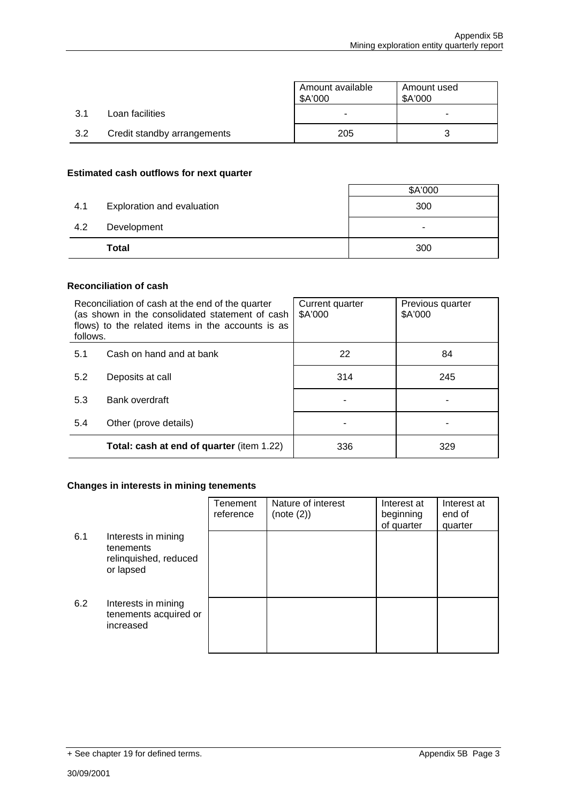|     |                             | Amount available<br>\$A'000 | Amount used<br>\$A'000 |  |
|-----|-----------------------------|-----------------------------|------------------------|--|
| 3.1 | Loan facilities             |                             |                        |  |
| 3.2 | Credit standby arrangements | 205                         |                        |  |

#### **Estimated cash outflows for next quarter**

|     | <b>Total</b>               | -<br>300 |
|-----|----------------------------|----------|
| 4.2 | Development                |          |
| 4.1 | Exploration and evaluation | 300      |
|     |                            | \$A'000  |

#### **Reconciliation of cash**

| follows. | Reconciliation of cash at the end of the quarter<br>(as shown in the consolidated statement of cash<br>flows) to the related items in the accounts is as | Current quarter<br>\$A'000 | Previous quarter<br>\$A'000 |
|----------|----------------------------------------------------------------------------------------------------------------------------------------------------------|----------------------------|-----------------------------|
| 5.1      | Cash on hand and at bank                                                                                                                                 | 22                         | 84                          |
| 5.2      | Deposits at call                                                                                                                                         | 314                        | 245                         |
| 5.3      | Bank overdraft                                                                                                                                           |                            |                             |
| 5.4      | Other (prove details)                                                                                                                                    |                            |                             |
|          | <b>Total: cash at end of quarter (item 1.22)</b>                                                                                                         | 336                        | 329                         |

#### **Changes in interests in mining tenements**

|     |                                                                        | Tenement<br>reference | Nature of interest<br>(note (2)) | Interest at<br>beginning<br>of quarter | Interest at<br>end of<br>quarter |
|-----|------------------------------------------------------------------------|-----------------------|----------------------------------|----------------------------------------|----------------------------------|
| 6.1 | Interests in mining<br>tenements<br>relinquished, reduced<br>or lapsed |                       |                                  |                                        |                                  |
| 6.2 | Interests in mining<br>tenements acquired or<br>increased              |                       |                                  |                                        |                                  |

<sup>+</sup> See chapter 19 for defined terms. Appendix 5B Page 3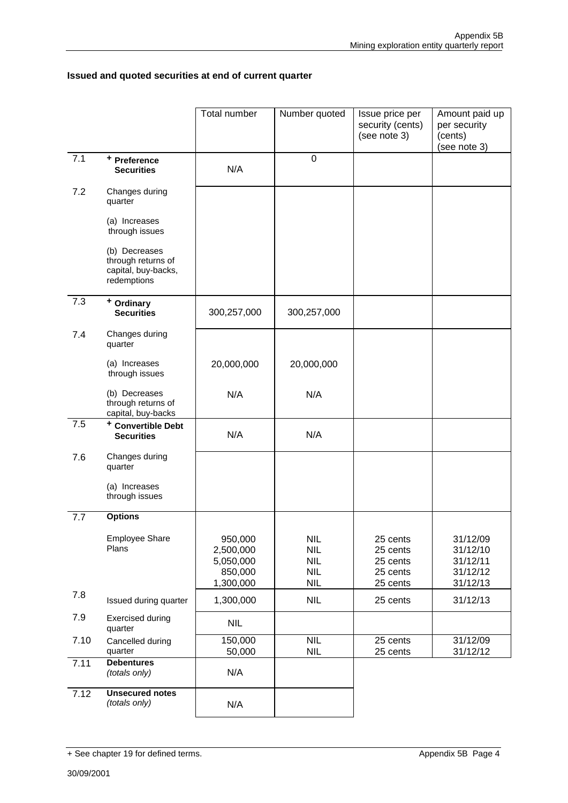#### **Issued and quoted securities at end of current quarter**

|      |                                                                           | Total number                                              | Number quoted                                                      | Issue price per<br>security (cents)<br>(see note 3)      | Amount paid up<br>per security<br>(cents)<br>(see note 3) |
|------|---------------------------------------------------------------------------|-----------------------------------------------------------|--------------------------------------------------------------------|----------------------------------------------------------|-----------------------------------------------------------|
| 7.1  | + Preference<br><b>Securities</b>                                         | N/A                                                       | 0                                                                  |                                                          |                                                           |
| 7.2  | Changes during<br>quarter                                                 |                                                           |                                                                    |                                                          |                                                           |
|      | (a) Increases<br>through issues                                           |                                                           |                                                                    |                                                          |                                                           |
|      | (b) Decreases<br>through returns of<br>capital, buy-backs,<br>redemptions |                                                           |                                                                    |                                                          |                                                           |
| 7.3  | + Ordinary<br><b>Securities</b>                                           | 300,257,000                                               | 300,257,000                                                        |                                                          |                                                           |
| 7.4  | Changes during<br>quarter                                                 |                                                           |                                                                    |                                                          |                                                           |
|      | (a) Increases<br>through issues                                           | 20,000,000                                                | 20,000,000                                                         |                                                          |                                                           |
|      | (b) Decreases<br>through returns of<br>capital, buy-backs                 | N/A                                                       | N/A                                                                |                                                          |                                                           |
| 7.5  | <sup>+</sup> Convertible Debt<br><b>Securities</b>                        | N/A                                                       | N/A                                                                |                                                          |                                                           |
| 7.6  | Changes during<br>quarter                                                 |                                                           |                                                                    |                                                          |                                                           |
|      | (a) Increases<br>through issues                                           |                                                           |                                                                    |                                                          |                                                           |
| 7.7  | <b>Options</b>                                                            |                                                           |                                                                    |                                                          |                                                           |
|      | Employee Share<br>Plans                                                   | 950,000<br>2,500,000<br>5,050,000<br>850,000<br>1,300,000 | <b>NIL</b><br><b>NIL</b><br><b>NIL</b><br><b>NIL</b><br><b>NIL</b> | 25 cents<br>25 cents<br>25 cents<br>25 cents<br>25 cents | 31/12/09<br>31/12/10<br>31/12/11<br>31/12/12<br>31/12/13  |
| 7.8  | Issued during quarter                                                     | 1,300,000                                                 | <b>NIL</b>                                                         | 25 cents                                                 | 31/12/13                                                  |
| 7.9  | <b>Exercised during</b><br>quarter                                        | <b>NIL</b>                                                |                                                                    |                                                          |                                                           |
| 7.10 | Cancelled during<br>quarter                                               | 150,000<br>50,000                                         | <b>NIL</b><br><b>NIL</b>                                           | 25 cents<br>25 cents                                     | 31/12/09<br>31/12/12                                      |
| 7.11 | <b>Debentures</b><br>(totals only)                                        | N/A                                                       |                                                                    |                                                          |                                                           |
| 7.12 | <b>Unsecured notes</b><br>(totals only)                                   | N/A                                                       |                                                                    |                                                          |                                                           |

<sup>+</sup> See chapter 19 for defined terms. Appendix 5B Page 4